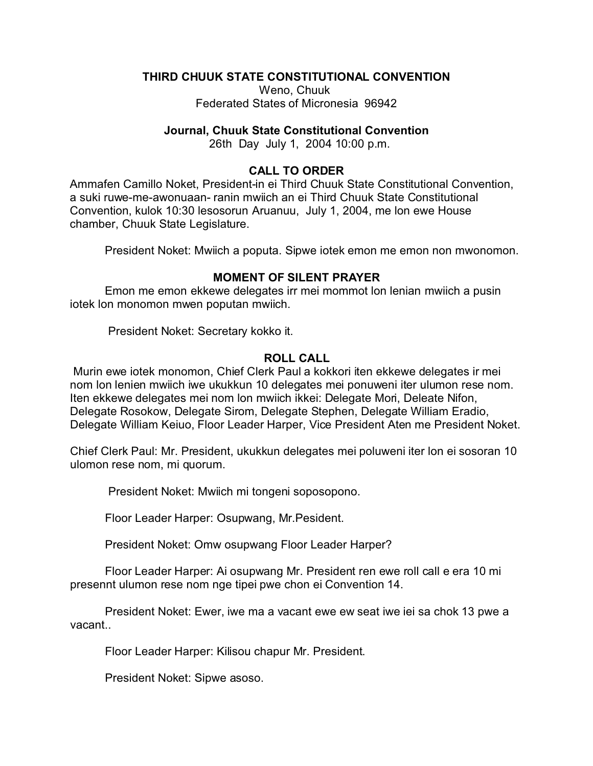# **THIRD CHUUK STATE CONSTITUTIONAL CONVENTION**

Weno, Chuuk Federated States of Micronesia 96942

#### **Journal, Chuuk State Constitutional Convention**

26th Day July 1, 2004 10:00 p.m.

## **CALL TO ORDER**

Ammafen Camillo Noket, President-in ei Third Chuuk State Constitutional Convention, a suki ruwe-me-awonuaan- ranin mwiich an ei Third Chuuk State Constitutional Convention, kulok 10:30 lesosorun Aruanuu, July 1, 2004, me lon ewe House chamber, Chuuk State Legislature.

President Noket: Mwiich a poputa. Sipwe iotek emon me emon non mwonomon.

# **MOMENT OF SILENT PRAYER**

Emon me emon ekkewe delegates irr mei mommot lon lenian mwiich a pusin iotek lon monomon mwen poputan mwiich.

President Noket: Secretary kokko it.

## **ROLL CALL**

 Murin ewe iotek monomon, Chief Clerk Paul a kokkori iten ekkewe delegates ir mei nom lon lenien mwiich iwe ukukkun 10 delegates mei ponuweni iter ulumon rese nom. Iten ekkewe delegates mei nom lon mwiich ikkei: Delegate Mori, Deleate Nifon, Delegate Rosokow, Delegate Sirom, Delegate Stephen, Delegate William Eradio, Delegate William Keiuo, Floor Leader Harper, Vice President Aten me President Noket.

Chief Clerk Paul: Mr. President, ukukkun delegates mei poluweni iter lon ei sosoran 10 ulomon rese nom, mi quorum.

President Noket: Mwiich mi tongeni soposopono.

Floor Leader Harper: Osupwang, Mr.Pesident.

President Noket: Omw osupwang Floor Leader Harper?

Floor Leader Harper: Ai osupwang Mr. President ren ewe roll call e era 10 mi presennt ulumon rese nom nge tipei pwe chon ei Convention 14.

President Noket: Ewer, iwe ma a vacant ewe ew seat iwe iei sa chok 13 pwe a vacant..

Floor Leader Harper: Kilisou chapur Mr. President.

President Noket: Sipwe asoso.